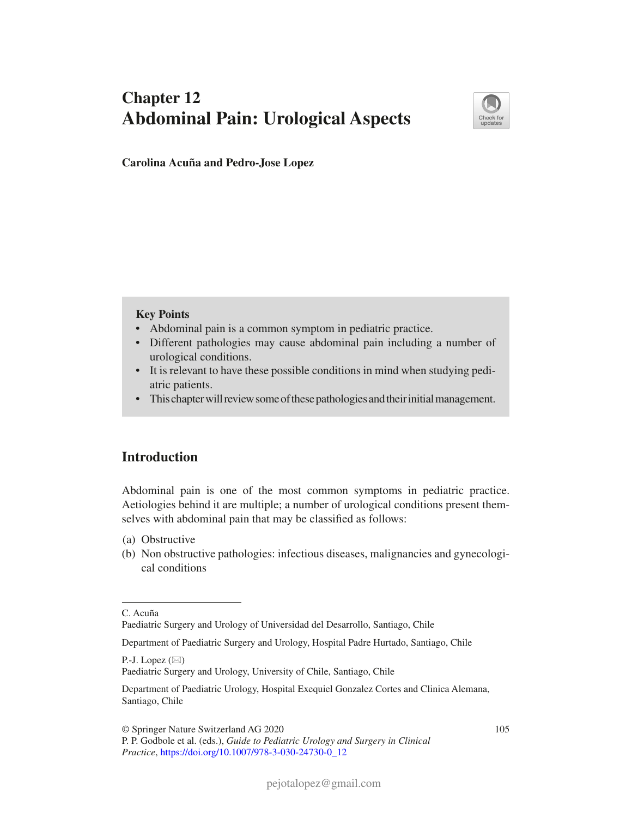# **Chapter 12 Abdominal Pain: Urological Aspects**



**Carolina Acuña and Pedro-Jose Lopez**

### **Key Points**

- Abdominal pain is a common symptom in pediatric practice.
- Different pathologies may cause abdominal pain including a number of urological conditions.
- It is relevant to have these possible conditions in mind when studying pediatric patients.
- This chapter will review some of these pathologies and their initial management.

### **Introduction**

Abdominal pain is one of the most common symptoms in pediatric practice. Aetiologies behind it are multiple; a number of urological conditions present themselves with abdominal pain that may be classifed as follows:

- (a) Obstructive
- (b) Non obstructive pathologies: infectious diseases, malignancies and gynecological conditions

P.-J. Lopez  $(\boxtimes)$ Paediatric Surgery and Urology, University of Chile, Santiago, Chile

© Springer Nature Switzerland AG 2020 105

C. Acuña

Paediatric Surgery and Urology of Universidad del Desarrollo, Santiago, Chile

Department of Paediatric Surgery and Urology, Hospital Padre Hurtado, Santiago, Chile

Department of Paediatric Urology, Hospital Exequiel Gonzalez Cortes and Clinica Alemana, Santiago, Chile

P. P. Godbole et al. (eds.), *Guide to Pediatric Urology and Surgery in Clinical Practice*, https://doi.org/10.1007/978-3-030-24730-0\_12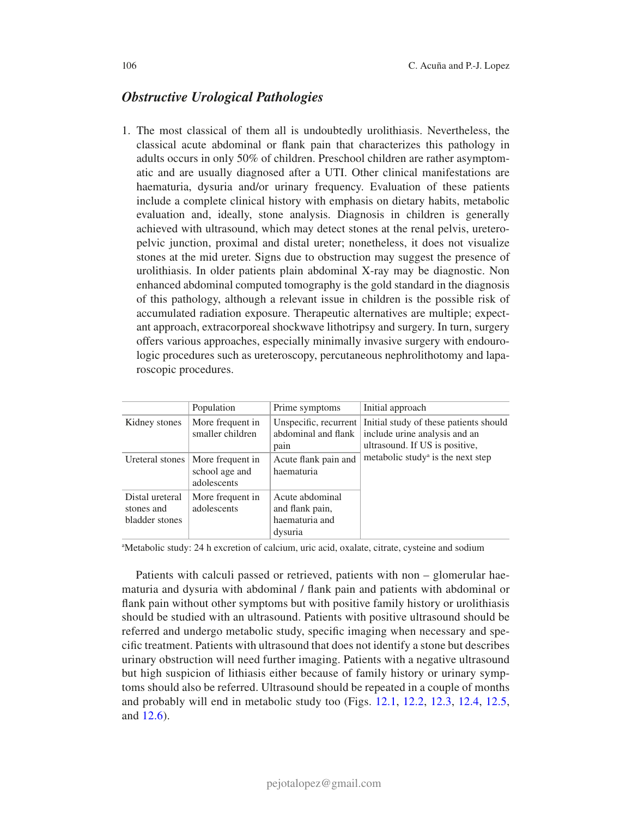## *Obstructive Urological Pathologies*

1. The most classical of them all is undoubtedly urolithiasis. Nevertheless, the classical acute abdominal or fank pain that characterizes this pathology in adults occurs in only 50% of children. Preschool children are rather asymptomatic and are usually diagnosed after a UTI. Other clinical manifestations are haematuria, dysuria and/or urinary frequency. Evaluation of these patients include a complete clinical history with emphasis on dietary habits, metabolic evaluation and, ideally, stone analysis. Diagnosis in children is generally achieved with ultrasound, which may detect stones at the renal pelvis, ureteropelvic junction, proximal and distal ureter; nonetheless, it does not visualize stones at the mid ureter. Signs due to obstruction may suggest the presence of urolithiasis. In older patients plain abdominal X-ray may be diagnostic. Non enhanced abdominal computed tomography is the gold standard in the diagnosis of this pathology, although a relevant issue in children is the possible risk of accumulated radiation exposure. Therapeutic alternatives are multiple; expectant approach, extracorporeal shockwave lithotripsy and surgery. In turn, surgery offers various approaches, especially minimally invasive surgery with endourologic procedures such as ureteroscopy, percutaneous nephrolithotomy and laparoscopic procedures.

|                                                 | Population                                        | Prime symptoms                                                  | Initial approach                                                                                          |
|-------------------------------------------------|---------------------------------------------------|-----------------------------------------------------------------|-----------------------------------------------------------------------------------------------------------|
| Kidney stones                                   | More frequent in<br>smaller children              | Unspecific, recurrent<br>abdominal and flank<br>pain            | Initial study of these patients should<br>include urine analysis and an<br>ultrasound. If US is positive, |
| Ureteral stones                                 | More frequent in<br>school age and<br>adolescents | Acute flank pain and<br>haematuria                              | metabolic study <sup>a</sup> is the next step                                                             |
| Distal ureteral<br>stones and<br>bladder stones | More frequent in<br>adolescents                   | Acute abdominal<br>and flank pain,<br>haematuria and<br>dysuria |                                                                                                           |

a Metabolic study: 24 h excretion of calcium, uric acid, oxalate, citrate, cysteine and sodium

Patients with calculi passed or retrieved, patients with non – glomerular haematuria and dysuria with abdominal / fank pain and patients with abdominal or fank pain without other symptoms but with positive family history or urolithiasis should be studied with an ultrasound. Patients with positive ultrasound should be referred and undergo metabolic study, specifc imaging when necessary and specifc treatment. Patients with ultrasound that does not identify a stone but describes urinary obstruction will need further imaging. Patients with a negative ultrasound but high suspicion of lithiasis either because of family history or urinary symptoms should also be referred. Ultrasound should be repeated in a couple of months and probably will end in metabolic study too (Figs. 12.1, 12.2, 12.3, 12.4, 12.5, and 12.6).

106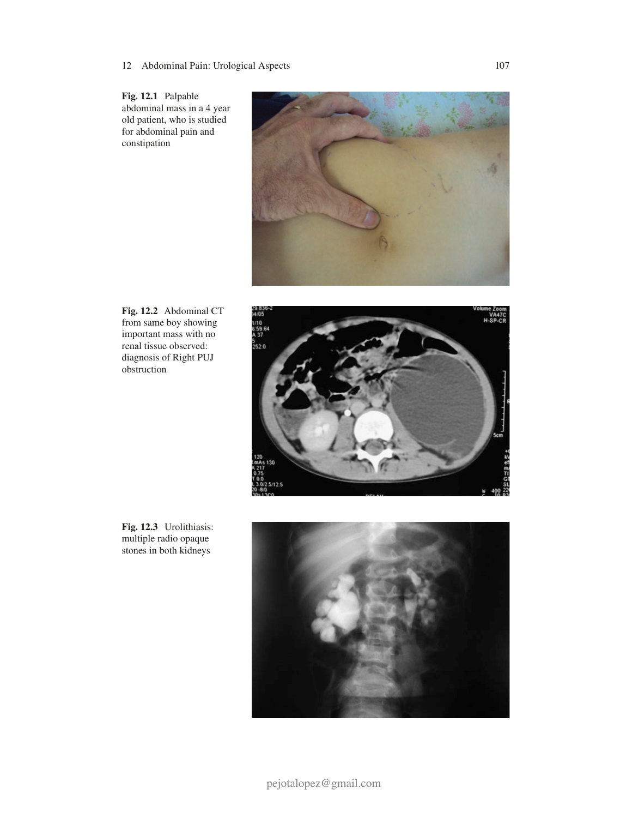**Fig. 12.1** Palpable abdominal mass in a 4 year old patient, who is studied for abdominal pain and constipation



**Fig. 12.2** Abdominal CT from same boy showing important mass with no renal tissue observed: diagnosis of Right PUJ obstruction



**Fig. 12.3** Urolithiasis: multiple radio opaque stones in both kidneys

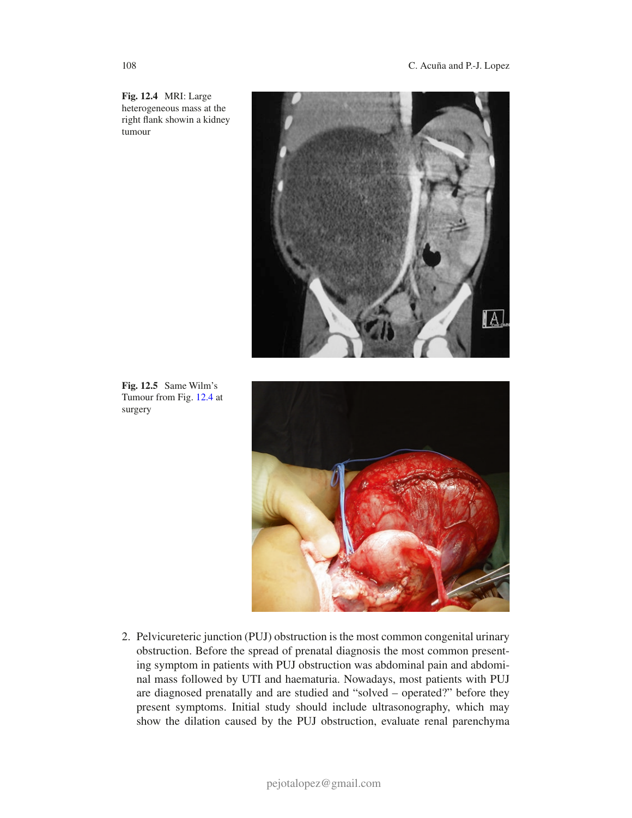**Fig. 12.4** MRI: Large heterogeneous mass at the right fank showin a kidney tumour



**Fig. 12.5** Same Wilm's Tumour from Fig. 12.4 at surgery



2. Pelvicureteric junction (PUJ) obstruction is the most common congenital urinary obstruction. Before the spread of prenatal diagnosis the most common presenting symptom in patients with PUJ obstruction was abdominal pain and abdominal mass followed by UTI and haematuria. Nowadays, most patients with PUJ are diagnosed prenatally and are studied and "solved – operated?" before they present symptoms. Initial study should include ultrasonography, which may show the dilation caused by the PUJ obstruction, evaluate renal parenchyma

108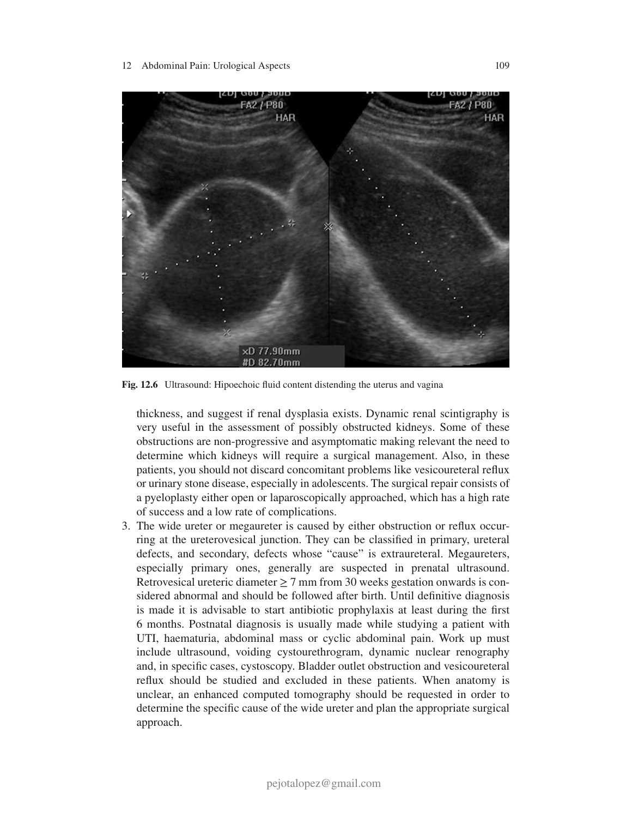#### 12 Abdominal Pain: Urological Aspects



**Fig. 12.6** Ultrasound: Hipoechoic fuid content distending the uterus and vagina

thickness, and suggest if renal dysplasia exists. Dynamic renal scintigraphy is very useful in the assessment of possibly obstructed kidneys. Some of these obstructions are non-progressive and asymptomatic making relevant the need to determine which kidneys will require a surgical management. Also, in these patients, you should not discard concomitant problems like vesicoureteral refux or urinary stone disease, especially in adolescents. The surgical repair consists of a pyeloplasty either open or laparoscopically approached, which has a high rate of success and a low rate of complications.

3. The wide ureter or megaureter is caused by either obstruction or refux occurring at the ureterovesical junction. They can be classifed in primary, ureteral defects, and secondary, defects whose "cause" is extraureteral. Megaureters, especially primary ones, generally are suspected in prenatal ultrasound. Retrovesical ureteric diameter  $\geq 7$  mm from 30 weeks gestation onwards is considered abnormal and should be followed after birth. Until defnitive diagnosis is made it is advisable to start antibiotic prophylaxis at least during the frst 6 months. Postnatal diagnosis is usually made while studying a patient with UTI, haematuria, abdominal mass or cyclic abdominal pain. Work up must include ultrasound, voiding cystourethrogram, dynamic nuclear renography and, in specifc cases, cystoscopy. Bladder outlet obstruction and vesicoureteral refux should be studied and excluded in these patients. When anatomy is unclear, an enhanced computed tomography should be requested in order to determine the specifc cause of the wide ureter and plan the appropriate surgical approach.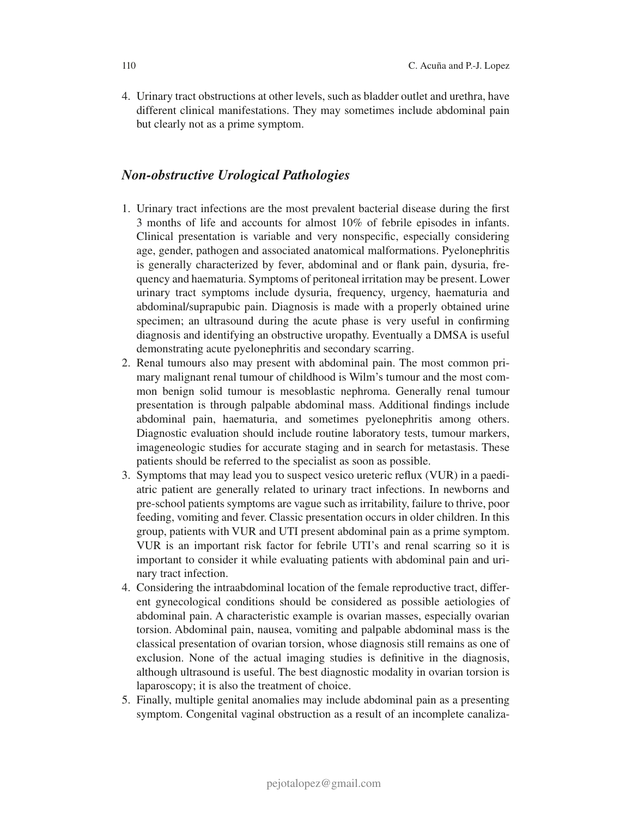4. Urinary tract obstructions at other levels, such as bladder outlet and urethra, have different clinical manifestations. They may sometimes include abdominal pain but clearly not as a prime symptom.

### *Non-obstructive Urological Pathologies*

- 1. Urinary tract infections are the most prevalent bacterial disease during the frst 3 months of life and accounts for almost 10% of febrile episodes in infants. Clinical presentation is variable and very nonspecifc, especially considering age, gender, pathogen and associated anatomical malformations. Pyelonephritis is generally characterized by fever, abdominal and or fank pain, dysuria, frequency and haematuria. Symptoms of peritoneal irritation may be present. Lower urinary tract symptoms include dysuria, frequency, urgency, haematuria and abdominal/suprapubic pain. Diagnosis is made with a properly obtained urine specimen; an ultrasound during the acute phase is very useful in confrming diagnosis and identifying an obstructive uropathy. Eventually a DMSA is useful demonstrating acute pyelonephritis and secondary scarring.
- 2. Renal tumours also may present with abdominal pain. The most common primary malignant renal tumour of childhood is Wilm's tumour and the most common benign solid tumour is mesoblastic nephroma. Generally renal tumour presentation is through palpable abdominal mass. Additional fndings include abdominal pain, haematuria, and sometimes pyelonephritis among others. Diagnostic evaluation should include routine laboratory tests, tumour markers, imageneologic studies for accurate staging and in search for metastasis. These patients should be referred to the specialist as soon as possible.
- 3. Symptoms that may lead you to suspect vesico ureteric refux (VUR) in a paediatric patient are generally related to urinary tract infections. In newborns and pre-school patients symptoms are vague such as irritability, failure to thrive, poor feeding, vomiting and fever. Classic presentation occurs in older children. In this group, patients with VUR and UTI present abdominal pain as a prime symptom. VUR is an important risk factor for febrile UTI's and renal scarring so it is important to consider it while evaluating patients with abdominal pain and urinary tract infection.
- 4. Considering the intraabdominal location of the female reproductive tract, different gynecological conditions should be considered as possible aetiologies of abdominal pain. A characteristic example is ovarian masses, especially ovarian torsion. Abdominal pain, nausea, vomiting and palpable abdominal mass is the classical presentation of ovarian torsion, whose diagnosis still remains as one of exclusion. None of the actual imaging studies is defnitive in the diagnosis, although ultrasound is useful. The best diagnostic modality in ovarian torsion is laparoscopy; it is also the treatment of choice.
- 5. Finally, multiple genital anomalies may include abdominal pain as a presenting symptom. Congenital vaginal obstruction as a result of an incomplete canaliza-

110